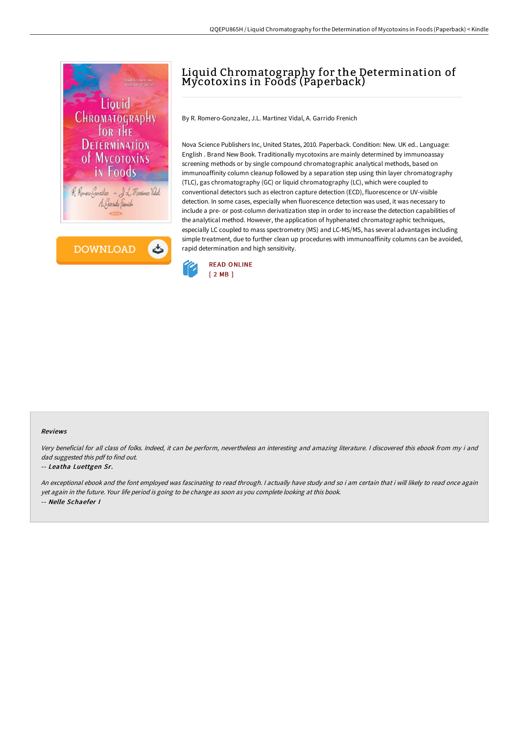

**DOWNLOAD** ٹ

# Liquid Chromatography for the Determination of Mycotoxins in Foods (Paperback)

By R. Romero-Gonzalez, J.L. Martinez Vidal, A. Garrido Frenich

Nova Science Publishers Inc, United States, 2010. Paperback. Condition: New. UK ed.. Language: English . Brand New Book. Traditionally mycotoxins are mainly determined by immunoassay screening methods or by single compound chromatographic analytical methods, based on immunoaffinity column cleanup followed by a separation step using thin layer chromatography (TLC), gas chromatography (GC) or liquid chromatography (LC), which were coupled to conventional detectors such as electron capture detection (ECD), fluorescence or UV-visible detection. In some cases, especially when fluorescence detection was used, it was necessary to include a pre- or post-column derivatization step in order to increase the detection capabilities of the analytical method. However, the application of hyphenated chromatographic techniques, especially LC coupled to mass spectrometry (MS) and LC-MS/MS, has several advantages including simple treatment, due to further clean up procedures with immunoaffinity columns can be avoided, rapid determination and high sensitivity.



#### Reviews

Very beneficial for all class of folks. Indeed, it can be perform, nevertheless an interesting and amazing literature. <sup>I</sup> discovered this ebook from my i and dad suggested this pdf to find out.

#### -- Leatha Luettgen Sr.

An exceptional ebook and the font employed was fascinating to read through. <sup>I</sup> actually have study and so i am certain that i will likely to read once again yet again in the future. Your life period is going to be change as soon as you complete looking at this book. -- Nelle Schaefer I